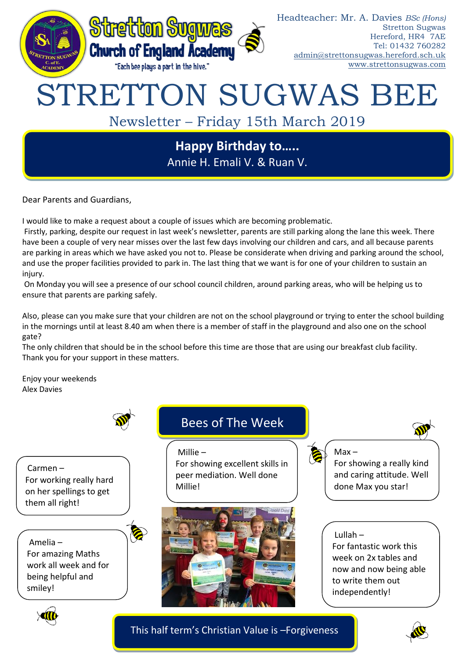

### Headteacher: Mr. A. Davies *BSc (Hons)* Stretton Sugwas Hereford, HR4 7AE Tel: 01432 760282 [admin@strettonsugwas.hereford.sch.uk](mailto:admin@strettonsugwas.hereford.sch.uk) www.strettonsugwas.com

# STRETTON SUGWAS BEE

# Newsletter – Friday 15th March 2019

# **Happy Birthday to…..** Annie H. Emali V. & Ruan V.

Dear Parents and Guardians,

I would like to make a request about a couple of issues which are becoming problematic.

Firstly, parking, despite our request in last week's newsletter, parents are still parking along the lane this week. There have been a couple of very near misses over the last few days involving our children and cars, and all because parents are parking in areas which we have asked you not to. Please be considerate when driving and parking around the school, and use the proper facilities provided to park in. The last thing that we want is for one of your children to sustain an injury.

On Monday you will see a presence of our school council children, around parking areas, who will be helping us to ensure that parents are parking safely.

Also, please can you make sure that your children are not on the school playground or trying to enter the school building in the mornings until at least 8.40 am when there is a member of staff in the playground and also one on the school gate?

The only children that should be in the school before this time are those that are using our breakfast club facility. Thank you for your support in these matters.

Enjoy your weekends Alex Davies